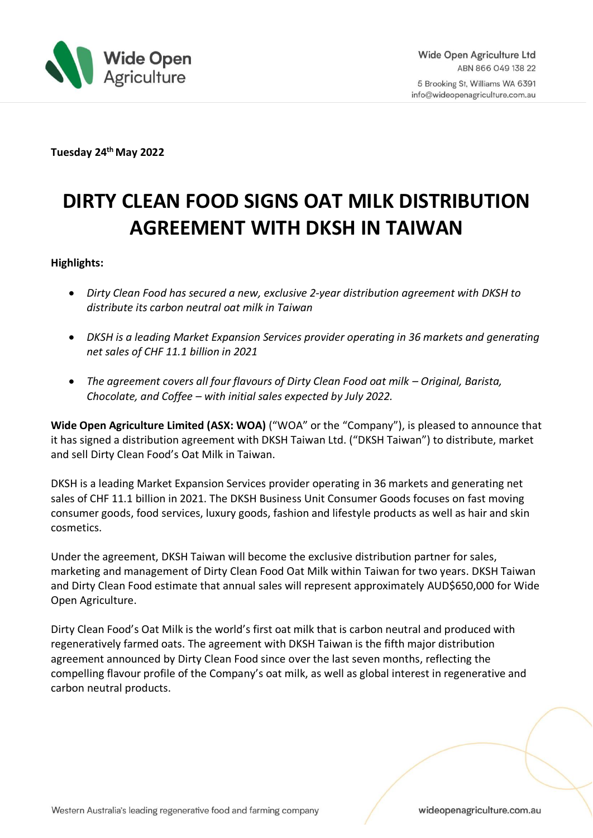

**Tuesday 24 thMay 2022** 

# **DIRTY CLEAN FOOD SIGNS OAT MILK DISTRIBUTION AGREEMENT WITH DKSH IN TAIWAN**

### **Highlights:**

- *Dirty Clean Food has secured a new, exclusive 2-year distribution agreement with DKSH to distribute its carbon neutral oat milk in Taiwan*
- *DKSH is a leading Market Expansion Services provider operating in 36 markets and generating net sales of CHF 11.1 billion in 2021*
- The agreement covers all four flavours of Dirty Clean Food oat milk Original, Barista, *Chocolate, and Coffee – with initial sales expected by July 2022.*

**Wide Open Agriculture Limited (ASX: WOA)** ("WOA" or the "Company"), is pleased to announce that it has signed a distribution agreement with DKSH Taiwan Ltd. ("DKSH Taiwan") to distribute, market and sell Dirty Clean Food's Oat Milk in Taiwan.

DKSH is a leading Market Expansion Services provider operating in 36 markets and generating net sales of CHF 11.1 billion in 2021. The DKSH Business Unit Consumer Goods focuses on fast moving consumer goods, food services, luxury goods, fashion and lifestyle products as well as hair and skin cosmetics.

Under the agreement, DKSH Taiwan will become the exclusive distribution partner for sales, marketing and management of Dirty Clean Food Oat Milk within Taiwan for two years. DKSH Taiwan and Dirty Clean Food estimate that annual sales will represent approximately AUD\$650,000 for Wide Open Agriculture.

Dirty Clean Food's Oat Milk is the world's first oat milk that is carbon neutral and produced with regeneratively farmed oats. The agreement with DKSH Taiwan is the fifth major distribution agreement announced by Dirty Clean Food since over the last seven months, reflecting the compelling flavour profile of the Company's oat milk, as well as global interest in regenerative and carbon neutral products.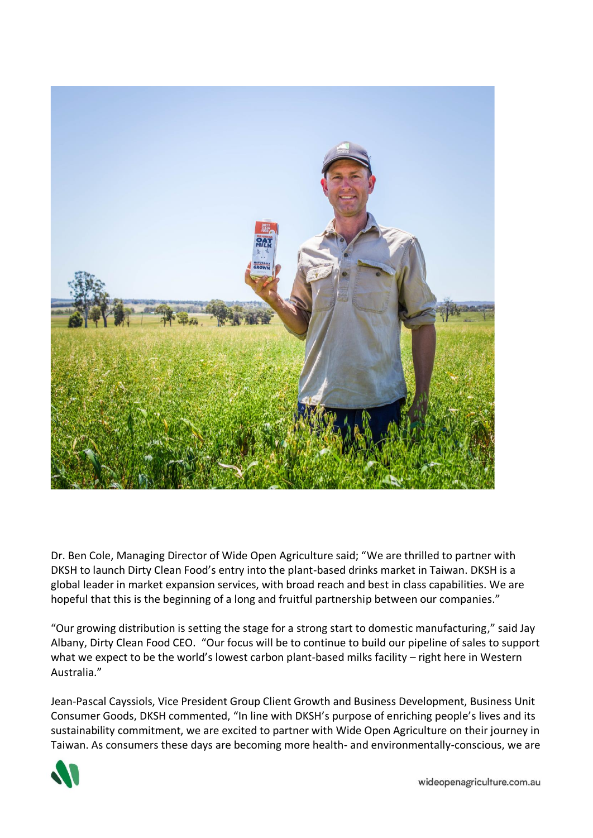

Dr. Ben Cole, Managing Director of Wide Open Agriculture said; "We are thrilled to partner with DKSH to launch Dirty Clean Food's entry into the plant-based drinks market in Taiwan. DKSH is a global leader in market expansion services, with broad reach and best in class capabilities. We are hopeful that this is the beginning of a long and fruitful partnership between our companies."

"Our growing distribution is setting the stage for a strong start to domestic manufacturing," said Jay Albany, Dirty Clean Food CEO. "Our focus will be to continue to build our pipeline of sales to support what we expect to be the world's lowest carbon plant-based milks facility – right here in Western Australia."

Jean-Pascal Cayssiols, Vice President Group Client Growth and Business Development, Business Unit Consumer Goods, DKSH commented, "In line with DKSH's purpose of enriching people's lives and its sustainability commitment, we are excited to partner with Wide Open Agriculture on their journey in Taiwan. As consumers these days are becoming more health- and environmentally-conscious, we are

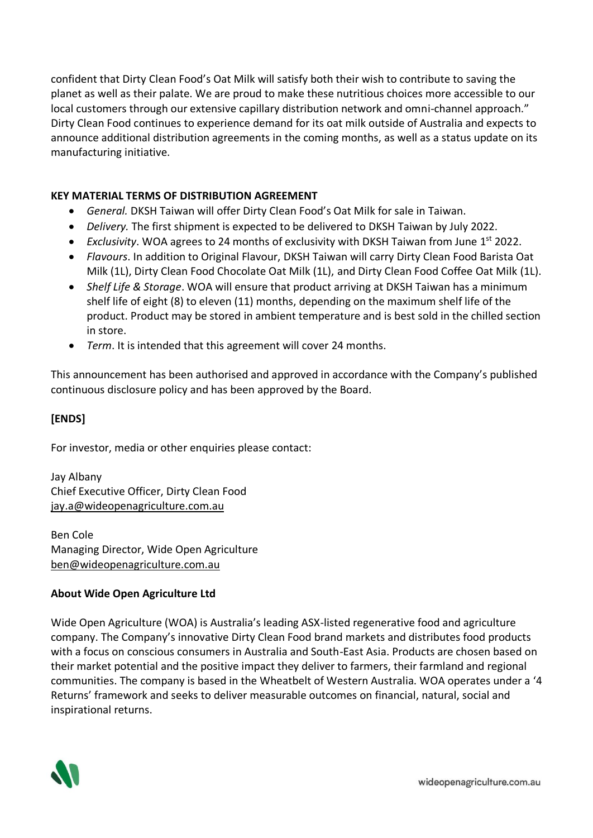confident that Dirty Clean Food's Oat Milk will satisfy both their wish to contribute to saving the planet as well as their palate. We are proud to make these nutritious choices more accessible to our local customers through our extensive capillary distribution network and omni-channel approach." Dirty Clean Food continues to experience demand for its oat milk outside of Australia and expects to announce additional distribution agreements in the coming months, as well as a status update on its manufacturing initiative.

# **KEY MATERIAL TERMS OF DISTRIBUTION AGREEMENT**

- *General.* DKSH Taiwan will offer Dirty Clean Food's Oat Milk for sale in Taiwan.
- *Delivery.* The first shipment is expected to be delivered to DKSH Taiwan by July 2022.
- *Exclusivity*. WOA agrees to 24 months of exclusivity with DKSH Taiwan from June 1<sup>st</sup> 2022.
- *Flavours*. In addition to Original Flavour, DKSH Taiwan will carry Dirty Clean Food Barista Oat Milk (1L), Dirty Clean Food Chocolate Oat Milk (1L), and Dirty Clean Food Coffee Oat Milk (1L).
- *Shelf Life & Storage*. WOA will ensure that product arriving at DKSH Taiwan has a minimum shelf life of eight (8) to eleven (11) months, depending on the maximum shelf life of the product. Product may be stored in ambient temperature and is best sold in the chilled section in store.
- *Term*. It is intended that this agreement will cover 24 months.

This announcement has been authorised and approved in accordance with the Company's published continuous disclosure policy and has been approved by the Board.

# **[ENDS]**

For investor, media or other enquiries please contact:

Jay Albany Chief Executive Officer, Dirty Clean Food [jay.a@wideopenagriculture.com.au](mailto:jay.a@wideopenagriculture.com.au)

Ben Cole Managing Director, Wide Open Agriculture [ben@wideopenagriculture.com.au](mailto:ben@wideopenagriculture.com.au)

### **About Wide Open Agriculture Ltd**

Wide Open Agriculture (WOA) is Australia's leading ASX-listed regenerative food and agriculture company. The Company's innovative Dirty Clean Food brand markets and distributes food products with a focus on conscious consumers in Australia and South-East Asia. Products are chosen based on their market potential and the positive impact they deliver to farmers, their farmland and regional communities. The company is based in the Wheatbelt of Western Australia. WOA operates under a '4 Returns' framework and seeks to deliver measurable outcomes on financial, natural, social and inspirational returns.